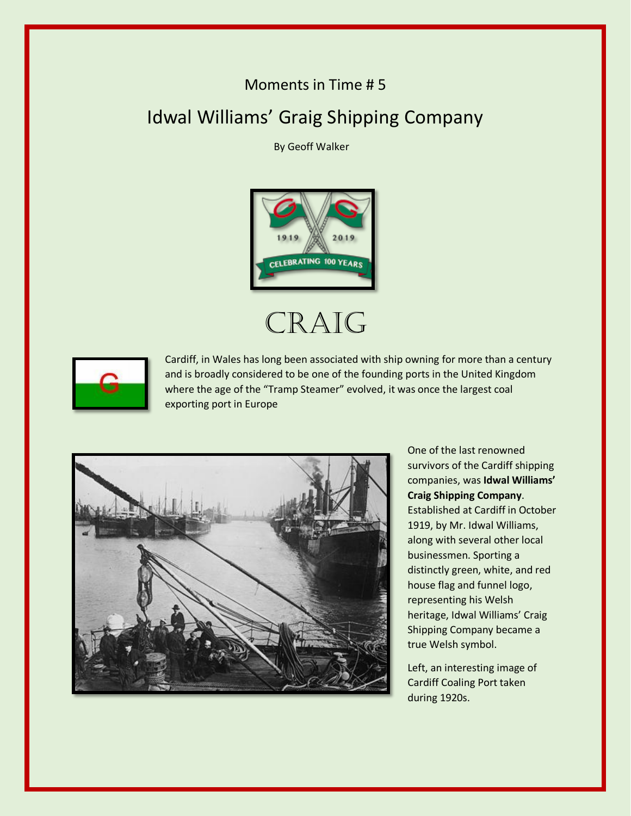## Moments in Time # 5

## Idwal Williams' Graig Shipping Company

By Geoff Walker



## CRAIG



Cardiff, in Wales has long been associated with ship owning for more than a century and is broadly considered to be one of the founding ports in the United Kingdom where the age of the "Tramp Steamer" evolved, it was once the largest coal exporting port in Europe



One of the last renowned survivors of the Cardiff shipping companies, was **Idwal Williams' Craig Shipping Company**. Established at Cardiff in October 1919, by Mr. Idwal Williams, along with several other local businessmen. Sporting a distinctly green, white, and red house flag and funnel logo, representing his Welsh heritage, Idwal Williams' Craig Shipping Company became a true Welsh symbol.

Left, an interesting image of Cardiff Coaling Port taken during 1920s.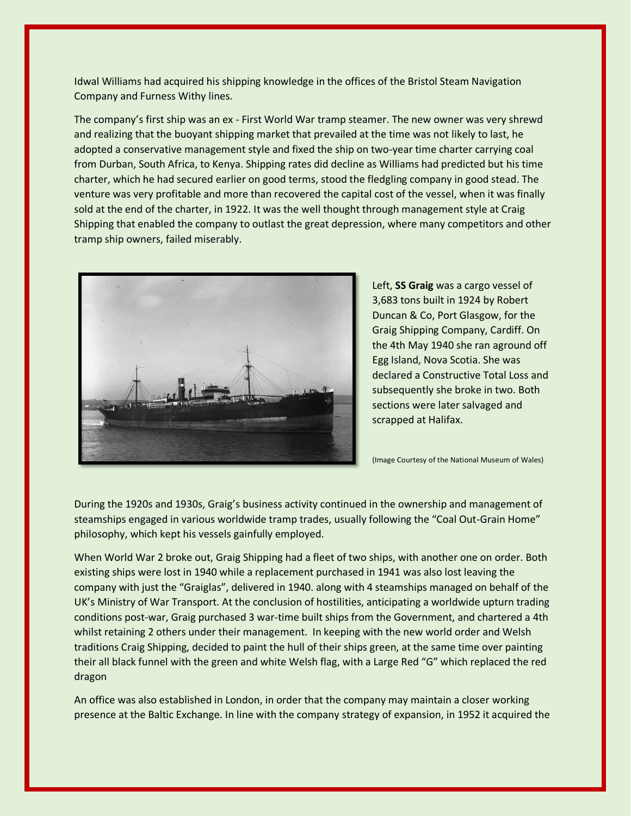Idwal Williams had acquired his shipping knowledge in the offices of the Bristol Steam Navigation Company and Furness Withy lines.

The company's first ship was an ex - First World War tramp steamer. The new owner was very shrewd and realizing that the buoyant shipping market that prevailed at the time was not likely to last, he adopted a conservative management style and fixed the ship on two-year time charter carrying coal from Durban, South Africa, to Kenya. Shipping rates did decline as Williams had predicted but his time charter, which he had secured earlier on good terms, stood the fledgling company in good stead. The venture was very profitable and more than recovered the capital cost of the vessel, when it was finally sold at the end of the charter, in 1922. It was the well thought through management style at Craig Shipping that enabled the company to outlast the great depression, where many competitors and other tramp ship owners, failed miserably.



Left, **SS Graig** was a cargo vessel of 3,683 tons built in 1924 by Robert Duncan & Co, Port Glasgow, for the Graig Shipping Company, Cardiff. On the 4th May 1940 she ran aground off Egg Island, Nova Scotia. She was declared a Constructive Total Loss and subsequently she broke in two. Both sections were later salvaged and scrapped at Halifax.

(Image Courtesy of the National Museum of Wales)

During the 1920s and 1930s, Graig's business activity continued in the ownership and management of steamships engaged in various worldwide tramp trades, usually following the "Coal Out-Grain Home" philosophy, which kept his vessels gainfully employed.

When World War 2 broke out, Graig Shipping had a fleet of two ships, with another one on order. Both existing ships were lost in 1940 while a replacement purchased in 1941 was also lost leaving the company with just the "Graiglas", delivered in 1940. along with 4 steamships managed on behalf of the UK's Ministry of War Transport. At the conclusion of hostilities, anticipating a worldwide upturn trading conditions post-war, Graig purchased 3 war-time built ships from the Government, and chartered a 4th whilst retaining 2 others under their management. In keeping with the new world order and Welsh traditions Craig Shipping, decided to paint the hull of their ships green, at the same time over painting their all black funnel with the green and white Welsh flag, with a Large Red "G" which replaced the red dragon

An office was also established in London, in order that the company may maintain a closer working presence at the Baltic Exchange. In line with the company strategy of expansion, in 1952 it acquired the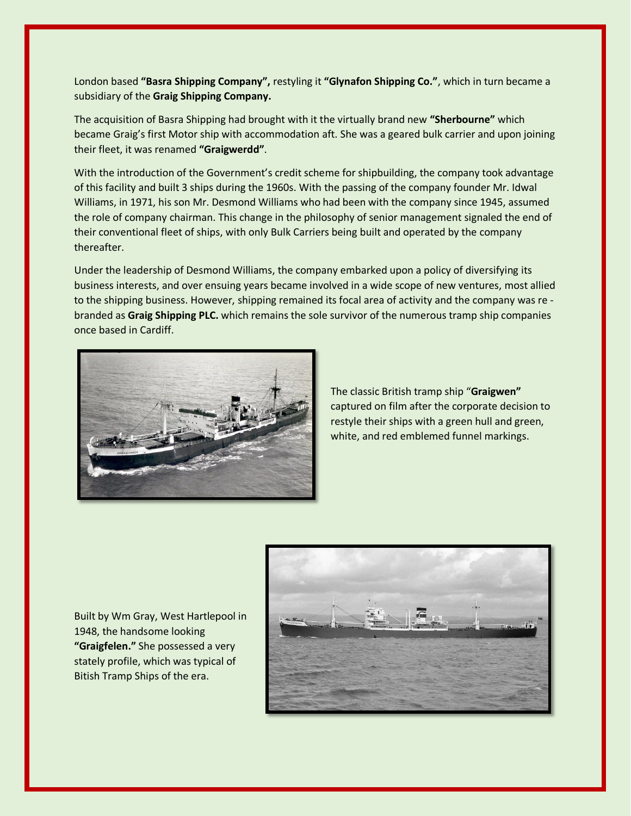London based **"Basra Shipping Company",** restyling it **"Glynafon Shipping Co."**, which in turn became a subsidiary of the **Graig Shipping Company.**

The acquisition of Basra Shipping had brought with it the virtually brand new **"Sherbourne"** which became Graig's first Motor ship with accommodation aft. She was a geared bulk carrier and upon joining their fleet, it was renamed **"Graigwerdd"**.

With the introduction of the Government's credit scheme for shipbuilding, the company took advantage of this facility and built 3 ships during the 1960s. With the passing of the company founder Mr. Idwal Williams, in 1971, his son Mr. Desmond Williams who had been with the company since 1945, assumed the role of company chairman. This change in the philosophy of senior management signaled the end of their conventional fleet of ships, with only Bulk Carriers being built and operated by the company thereafter.

Under the leadership of Desmond Williams, the company embarked upon a policy of diversifying its business interests, and over ensuing years became involved in a wide scope of new ventures, most allied to the shipping business. However, shipping remained its focal area of activity and the company was re branded as **Graig Shipping PLC.** which remains the sole survivor of the numerous tramp ship companies once based in Cardiff.



The classic British tramp ship "**Graigwen"**  captured on film after the corporate decision to restyle their ships with a green hull and green, white, and red emblemed funnel markings.

Built by Wm Gray, West Hartlepool in 1948, the handsome looking **"Graigfelen."** She possessed a very stately profile, which was typical of Bitish Tramp Ships of the era.